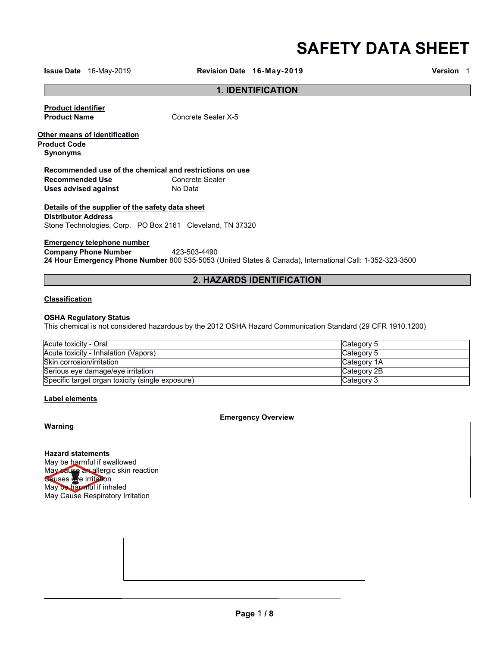# **SAFETY DATA SHEET**

**Issue Date** 16-May-2019 **Revision Date 16-May-2019 Version** 1

# **1. IDENTIFICATION**

**Product identifier** 

**Product Name** Concrete Sealer X-5

**Other means of identification Product Code**

**Synonyms**

**Recommended use of the chemical and restrictions on use Recommended Use Concrete**<br> **Uses advised against No Data Uses advised against** 

# **Details of the supplier of the safety data sheet**

**Distributor Address**

Stone Technologies, Corp. PO Box 2161 Cleveland, TN 37320

#### **Emergency telephone number**

**Company Phone Number** 423-503-4490 **24 Hour Emergency Phone Number** 800 535-5053 (United States & Canada), International Call: 1-352-323-3500

# **2. HAZARDS IDENTIFICATION**

#### **Classification**

#### **OSHA Regulatory Status**

This chemical is not considered hazardous by the 2012 OSHA Hazard Communication Standard (29 CFR 1910.1200)

| Acute toxicity - Oral                            | Category 5  |
|--------------------------------------------------|-------------|
| Acute toxicity - Inhalation (Vapors)             | Category 5  |
| lSkin corrosion/irritation                       | Category 1A |
| Serious eye damage/eye irritation                | Category 2B |
| Specific target organ toxicity (single exposure) | Category 3  |

#### **Label elements**

**Emergency Overview**

**Warning**

**Hazard statements** May be harmful if swallowed May cause an allergic skin reaction Causes eye irritation May be harmful if inhaled May Cause Respiratory Irritation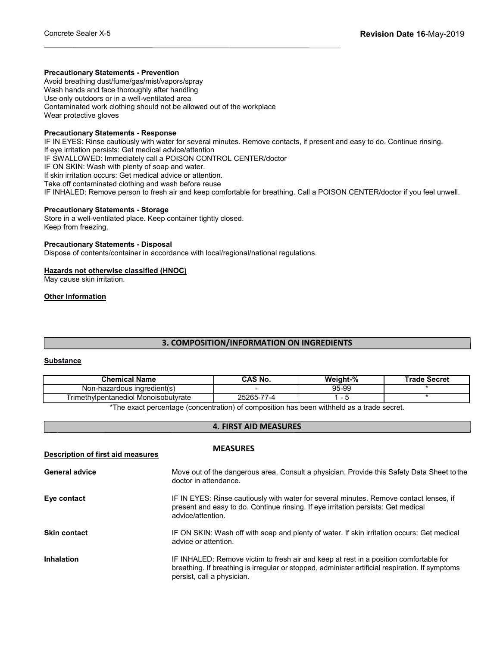#### **Precautionary Statements - Prevention**

Avoid breathing dust/fume/gas/mist/vapors/spray Wash hands and face thoroughly after handling Use only outdoors or in a well-ventilated area Contaminated work clothing should not be allowed out of the workplace Wear protective gloves

#### **Precautionary Statements - Response**

IF IN EYES: Rinse cautiously with water for several minutes. Remove contacts, if present and easy to do. Continue rinsing. If eye irritation persists: Get medical advice/attention IF SWALLOWED: Immediately call a POISON CONTROL CENTER/doctor IF ON SKIN: Wash with plenty of soap and water. If skin irritation occurs: Get medical advice or attention. Take off contaminated clothing and wash before reuse IF INHALED: Remove person to fresh air and keep comfortable for breathing. Call a POISON CENTER/doctor if you feel unwell.

# **Precautionary Statements - Storage**

Store in a well-ventilated place. Keep container tightly closed. Keep from freezing.

#### **Precautionary Statements - Disposal**

Dispose of contents/container in accordance with local/regional/national regulations.

# **Hazards not otherwise classified (HNOC)**

May cause skin irritation.

# **Other Information**

# **3. COMPOSITION/INFORMATION ON INGREDIENTS**

#### **Substance**

| <b>Chemical Name</b>                 | <b>CAS No.</b>       | Weiaht-%        | Trade Secret |
|--------------------------------------|----------------------|-----------------|--------------|
| Non-hazardous ingredient(s)          |                      | 95-99           |              |
| Trimethvlpentanediol Monoisobutvrate | $25265 -$<br>$1 - 4$ | $\qquad \qquad$ |              |
|                                      |                      |                 |              |

The exact percentage (concentration) of composition has been withheld as a trade secret.

# **4. FIRST AID MEASURES**

| Description of first aid measures | <b>MEASURES</b>                                                                                                                                                                                                        |
|-----------------------------------|------------------------------------------------------------------------------------------------------------------------------------------------------------------------------------------------------------------------|
| <b>General advice</b>             | Move out of the dangerous area. Consult a physician. Provide this Safety Data Sheet to the<br>doctor in attendance.                                                                                                    |
| Eye contact                       | IF IN EYES: Rinse cautiously with water for several minutes. Remove contact lenses, if<br>present and easy to do. Continue rinsing. If eye irritation persists: Get medical<br>advice/attention.                       |
| <b>Skin contact</b>               | IF ON SKIN: Wash off with soap and plenty of water. If skin irritation occurs: Get medical<br>advice or attention.                                                                                                     |
| <b>Inhalation</b>                 | IF INHALED: Remove victim to fresh air and keep at rest in a position comfortable for<br>breathing. If breathing is irregular or stopped, administer artificial respiration. If symptoms<br>persist, call a physician. |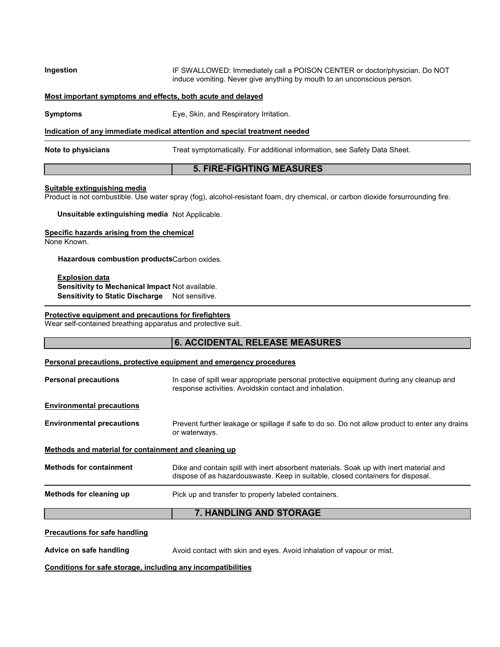**Ingestion IF SWALLOWED: Immediately call a POISON CENTER or doctor/physician. Do NOT** induce vomiting. Never give anything by mouth to an unconscious person.

**Most important symptoms and effects, both acute and delayed**

**Symptoms** Eye, Skin, and Respiratory Irritation.

**Indication of any immediate medical attention and special treatment needed**

**Note to physicians** Treat symptomatically. For additional information, see Safety Data Sheet.

# **5. FIRE-FIGHTING MEASURES**

#### **Suitable extinguishing media**

Product is not combustible. Use water spray (fog), alcohol-resistant foam, dry chemical, or carbon dioxide forsurrounding fire.

**Unsuitable extinguishing media** Not Applicable.

#### **Specific hazards arising from the chemical**

None Known.

**Hazardous combustion products**Carbon oxides.

#### **Explosion data**

**Sensitivity to Mechanical Impact** Not available. **Sensitivity to Static Discharge** Not sensitive.

# **Protective equipment and precautions for firefighters**

Wear self-contained breathing apparatus and protective suit.

|                                                      | <b>6. ACCIDENTAL RELEASE MEASURES</b>                                                                                                                                     |  |  |
|------------------------------------------------------|---------------------------------------------------------------------------------------------------------------------------------------------------------------------------|--|--|
|                                                      | Personal precautions, protective equipment and emergency procedures                                                                                                       |  |  |
| <b>Personal precautions</b>                          | In case of spill wear appropriate personal protective equipment during any cleanup and<br>response activities. Avoidskin contact and inhalation.                          |  |  |
| <b>Environmental precautions</b>                     |                                                                                                                                                                           |  |  |
| <b>Environmental precautions</b>                     | Prevent further leakage or spillage if safe to do so. Do not allow product to enter any drains<br>or waterways.                                                           |  |  |
| Methods and material for containment and cleaning up |                                                                                                                                                                           |  |  |
| <b>Methods for containment</b>                       | Dike and contain spill with inert absorbent materials. Soak up with inert material and<br>dispose of as hazardouswaste. Keep in suitable, closed containers for disposal. |  |  |
| Methods for cleaning up                              | Pick up and transfer to properly labeled containers.                                                                                                                      |  |  |
|                                                      | 7. HANDLING AND STORAGE                                                                                                                                                   |  |  |
| <b>Precautions for safe handling</b>                 |                                                                                                                                                                           |  |  |
| Advice on safe handling                              | Avoid contact with skin and eyes. Avoid inhalation of vapour or mist.                                                                                                     |  |  |

**Conditions for safe storage, including any incompatibilities**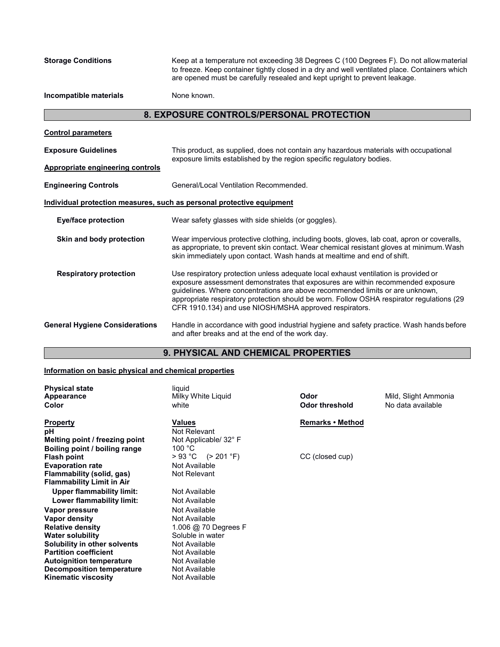**Storage Conditions** Keep at a temperature not exceeding 38 Degrees C (100 Degrees F). Do not allowmaterial to freeze. Keep container tightly closed in a dry and well ventilated place. Containers which are opened must be carefully resealed and kept upright to prevent leakage.

**Incompatible materials** None known.

# **8. EXPOSURE CONTROLS/PERSONAL PROTECTION**

| <b>Control parameters</b>               |                                                                                                                                                                                                                                                                                                                                                                                                                |
|-----------------------------------------|----------------------------------------------------------------------------------------------------------------------------------------------------------------------------------------------------------------------------------------------------------------------------------------------------------------------------------------------------------------------------------------------------------------|
| <b>Exposure Guidelines</b>              | This product, as supplied, does not contain any hazardous materials with occupational                                                                                                                                                                                                                                                                                                                          |
| <b>Appropriate engineering controls</b> | exposure limits established by the region specific regulatory bodies.                                                                                                                                                                                                                                                                                                                                          |
| <b>Engineering Controls</b>             | General/Local Ventilation Recommended.                                                                                                                                                                                                                                                                                                                                                                         |
|                                         | Individual protection measures, such as personal protective equipment                                                                                                                                                                                                                                                                                                                                          |
| <b>Eye/face protection</b>              | Wear safety glasses with side shields (or goggles).                                                                                                                                                                                                                                                                                                                                                            |
| Skin and body protection                | Wear impervious protective clothing, including boots, gloves, lab coat, apron or coveralls,<br>as appropriate, to prevent skin contact. Wear chemical resistant gloves at minimum. Wash<br>skin immediately upon contact. Wash hands at mealtime and end of shift.                                                                                                                                             |
| <b>Respiratory protection</b>           | Use respiratory protection unless adequate local exhaust ventilation is provided or<br>exposure assessment demonstrates that exposures are within recommended exposure<br>guidelines. Where concentrations are above recommended limits or are unknown,<br>appropriate respiratory protection should be worn. Follow OSHA respirator regulations (29<br>CFR 1910.134) and use NIOSH/MSHA approved respirators. |
| <b>General Hygiene Considerations</b>   | Handle in accordance with good industrial hygiene and safety practice. Wash hands before<br>and after breaks and at the end of the work day.                                                                                                                                                                                                                                                                   |

# **9. PHYSICAL AND CHEMICAL PROPERTIES**

# **Information on basic physical and chemical properties**

| <b>Physical state</b><br>Appearance | liauid<br>Milky White Liquid | Odor                    | Mild, Slight Ammonia |
|-------------------------------------|------------------------------|-------------------------|----------------------|
| Color                               | white                        | Odor threshold          | No data available    |
| <b>Property</b>                     | Values                       | <b>Remarks • Method</b> |                      |
| рH                                  | Not Relevant                 |                         |                      |
| Melting point / freezing point      | Not Applicable/ 32° F        |                         |                      |
| Boiling point / boiling range       | 100 °C                       |                         |                      |
| <b>Flash point</b>                  | $> 93 °C$ ( $> 201 °F$ )     | CC (closed cup)         |                      |
| <b>Evaporation rate</b>             | Not Available                |                         |                      |
| Flammability (solid, gas)           | Not Relevant                 |                         |                      |
| <b>Flammability Limit in Air</b>    |                              |                         |                      |
| <b>Upper flammability limit:</b>    | Not Available                |                         |                      |
| Lower flammability limit:           | Not Available                |                         |                      |
| Vapor pressure                      | Not Available                |                         |                      |
| Vapor density                       | Not Available                |                         |                      |
| <b>Relative density</b>             | 1.006 @ 70 Degrees F         |                         |                      |
| <b>Water solubility</b>             | Soluble in water             |                         |                      |
| Solubility in other solvents        | Not Available                |                         |                      |
| <b>Partition coefficient</b>        | Not Available                |                         |                      |
| <b>Autoignition temperature</b>     | Not Available                |                         |                      |
| <b>Decomposition temperature</b>    | Not Available                |                         |                      |
| <b>Kinematic viscosity</b>          | Not Available                |                         |                      |
|                                     |                              |                         |                      |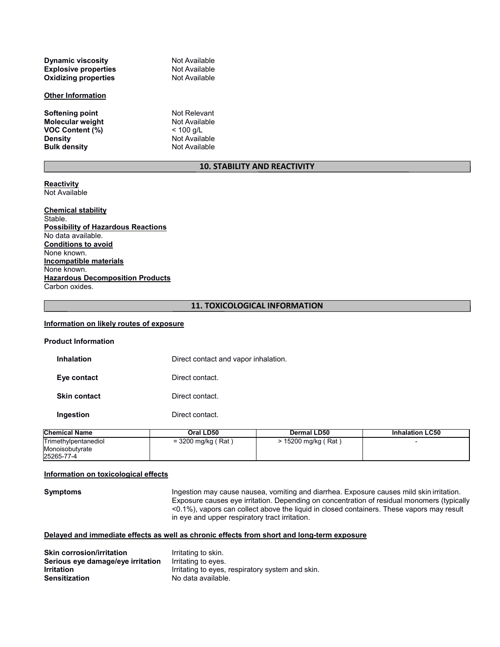| Not Available |
|---------------|
| Not Available |
| Not Available |
|               |

#### **Other Information**

**Softening point** Not Relevant **Molecular weight** Not Availa<br> **VOC Content (%)** < 100 g/L **VOC Content (%)**<br>Density **Bulk** density

**Not Available**<br>Not Available

# **10. STABILITY AND REACTIVITY**

#### **Reactivity**  Not Available

#### **Chemical stability** Stable. **Possibility of Hazardous Reactions** No data available. **Conditions to avoid** None known. **Incompatible materials** None known. **Hazardous Decomposition Products** Carbon oxides.

#### **11. TOXICOLOGICAL INFORMATION**

#### **Information on likely routes of exposure**

| <b>Product Information</b> |                                      |
|----------------------------|--------------------------------------|
| <b>Inhalation</b>          | Direct contact and vapor inhalation. |
| Eye contact                | Direct contact.                      |
| <b>Skin contact</b>        | Direct contact.                      |
| Ingestion                  | Direct contact.                      |
|                            |                                      |

| <b>Chemical Name</b> | Oral LD50            | <b>Dermal LD50</b>  | <b>Inhalation LC50</b> |
|----------------------|----------------------|---------------------|------------------------|
| Trimethylpentanediol | $=$ 3200 mg/kg (Rat) | > 15200 mg/kg (Rat) |                        |
| Monoisobutvrate      |                      |                     |                        |
| 25265-77-4           |                      |                     |                        |

#### **Information on toxicological effects**

**Symptoms Ingestion may cause nausea**, vomiting and diarrhea. Exposure causes mild skin irritation. Exposure causes eye irritation. Depending on concentration of residual monomers (typically <0.1%), vapors can collect above the liquid in closed containers. These vapors may result in eye and upper respiratory tract irritation.

# **Delayed and immediate effects as well as chronic effects from short and long-term exposure**

| <b>Skin corrosion/irritation</b>  | Irritating to skin.                              |
|-----------------------------------|--------------------------------------------------|
| Serious eye damage/eye irritation | Irritating to eves.                              |
| <b>Irritation</b>                 | Irritating to eyes, respiratory system and skin. |
| <b>Sensitization</b>              | No data available.                               |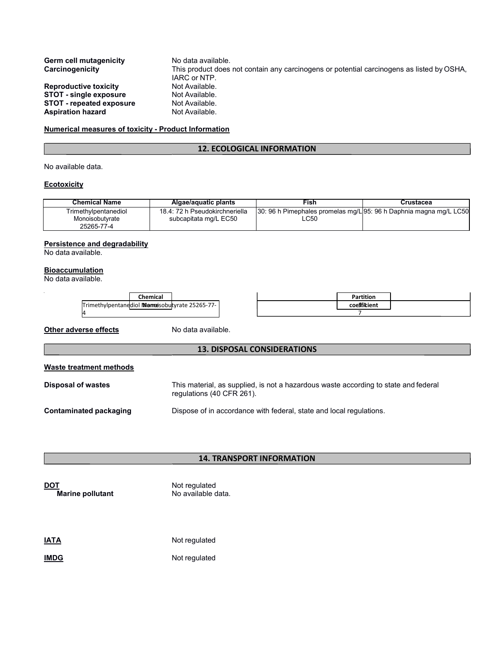| <b>Germ cell mutagenicity</b><br>Carcinogenicity                                                                             | No data available.<br>This product does not contain any carcinogens or potential carcinogens as listed by OSHA.<br>IARC or NTP. |
|------------------------------------------------------------------------------------------------------------------------------|---------------------------------------------------------------------------------------------------------------------------------|
| <b>Reproductive toxicity</b><br><b>STOT - single exposure</b><br><b>STOT - repeated exposure</b><br><b>Aspiration hazard</b> | Not Available.<br>Not Available.<br>Not Available.<br>Not Available.                                                            |
|                                                                                                                              |                                                                                                                                 |

#### **Numerical measures of toxicity - Product Information**

# **12. ECOLOGICAL INFORMATION**

No available data.

# **Ecotoxicity**

| <b>Chemical Name</b>                                  | Algae/aguatic plants                                    | Fish                                                                       | Crustacea |
|-------------------------------------------------------|---------------------------------------------------------|----------------------------------------------------------------------------|-----------|
| Trimethylpentanediol<br>Monoisobutvrate<br>25265-77-4 | 18.4: 72 h Pseudokirchneriella<br>subcapitata mg/L EC50 | 30: 96 h Pimephales promelas mg/L 95: 96 h Daphnia magna mg/L LC50<br>LC50 |           |

# **Persistence and degradability**

No data available.

## **Bioaccumulation**

No data available.

| Chemical                                      | Partition    |  |
|-----------------------------------------------|--------------|--|
| Trimethylpentanddiol Momesobutyrate 25265-77- | coeifficient |  |
|                                               |              |  |

**Other adverse effects** No data available.

#### **13. DISPOSAL CONSIDERATIONS**

| Waste treatment methods |  |
|-------------------------|--|
|                         |  |

| <b>Disposal of wastes</b> | This material, as supplied, is not a hazardous waste according to state and federal |  |  |
|---------------------------|-------------------------------------------------------------------------------------|--|--|
|                           | regulations (40 CFR 261).                                                           |  |  |

# **Contaminated packaging <b>Dispose** of in accordance with federal, state and local regulations.

# **14. TRANSPORT INFORMATION**

**DOT**<br> **Marine pollutant**<br>
No available data. **Marine** pollutant

**IATA** Not regulated

**IMDG** Not regulated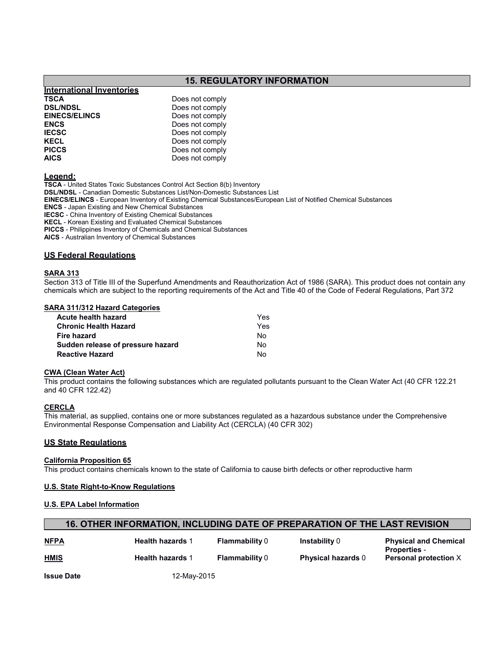# **15. REGULATORY INFORMATION**

# **International Inventories TSCA** Does not comply<br> **DELINDSL** Does not comply **DSL/NDSL**<br> **Does not comply<br>
EINECS/ELINCS**<br>
Does not comply **EINECS/ELINCS** Does not comply<br> **ENCS** Does not comply **ENCS** Does not comply<br>**IECSC** Does not comply **IECSC** Does not comply<br> **IECEL** Does not comply **KECL** Does not comply<br> **PICCS** Does not comply **PICCS** Does not comply<br>**AICS** Does not comply

#### **Legend:**

**TSCA** - United States Toxic Substances Control Act Section 8(b) Inventory **DSL/NDSL** - Canadian Domestic Substances List/Non-Domestic Substances List **EINECS/ELINCS** - European Inventory of Existing Chemical Substances/European List of Notified Chemical Substances **ENCS** - Japan Existing and New Chemical Substances **IECSC** - China Inventory of Existing Chemical Substances **KECL** - Korean Existing and Evaluated Chemical Substances **PICCS** - Philippines Inventory of Chemicals and Chemical Substances **AICS** - Australian Inventory of Chemical Substances

Does not comply

#### **US Federal Regulations**

#### **SARA 313**

Section 313 of Title III of the Superfund Amendments and Reauthorization Act of 1986 (SARA). This product does not contain any chemicals which are subject to the reporting requirements of the Act and Title 40 of the Code of Federal Regulations, Part 372

#### **SARA 311/312 Hazard Categories**

| Acute health hazard               | Yes |
|-----------------------------------|-----|
| Chronic Health Hazard             | Yes |
| Fire hazard                       | Nο  |
| Sudden release of pressure hazard | No. |
| <b>Reactive Hazard</b>            | N٥  |

#### **CWA (Clean Water Act)**

This product contains the following substances which are regulated pollutants pursuant to the Clean Water Act (40 CFR 122.21 and 40 CFR 122.42)

#### **CERCLA**

This material, as supplied, contains one or more substances regulated as a hazardous substance under the Comprehensive Environmental Response Compensation and Liability Act (CERCLA) (40 CFR 302)

#### **US State Regulations**

#### **California Proposition 65**

This product contains chemicals known to the state of California to cause birth defects or other reproductive harm

#### **U.S. State Right-to-Know Regulations**

#### **U.S. EPA Label Information**

| $\backslash$ 16. OTHER INFORMATION, INCLUDING DATE OF PREPARATION OF THE LAST REVISION $\backslash$ |  |
|-----------------------------------------------------------------------------------------------------|--|
|-----------------------------------------------------------------------------------------------------|--|

| <b>NFPA</b> | <b>Health hazards 1</b> | <b>Flammability 0</b> | <b>Instability 0</b>      | <b>Physical and Chemical</b><br><b>Properties -</b> |
|-------------|-------------------------|-----------------------|---------------------------|-----------------------------------------------------|
| <b>HMIS</b> | <b>Health hazards 1</b> | <b>Flammability 0</b> | <b>Physical hazards 0</b> | <b>Personal protection X</b>                        |
|             | ----                    |                       |                           |                                                     |

**Issue Date** 12-May-2015